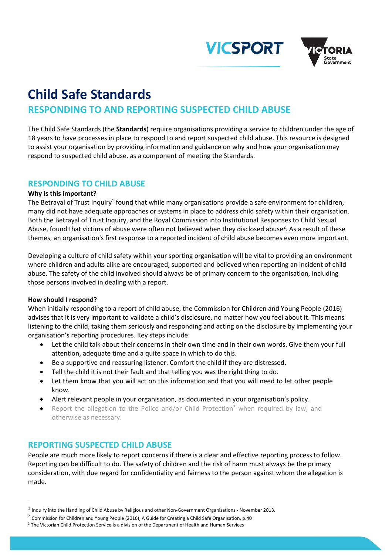



# **Child Safe Standards**

# **RESPONDING TO AND REPORTING SUSPECTED CHILD ABUSE**

The Child Safe Standards (the **Standards**) require organisations providing a service to children under the age of 18 years to have processes in place to respond to and report suspected child abuse. This resource is designed to assist your organisation by providing information and guidance on why and how your organisation may respond to suspected child abuse, as a component of meeting the Standards.

# **RESPONDING TO CHILD ABUSE**

#### **Why is this important?**

The Betrayal of Trust Inquiry<sup>1</sup> found that while many organisations provide a safe environment for children, many did not have adequate approaches or systems in place to address child safety within their organisation. Both the Betrayal of Trust Inquiry, and the Royal Commission into Institutional Responses to Child Sexual Abuse, found that victims of abuse were often not believed when they disclosed abuse<sup>2</sup>. As a result of these themes, an organisation's first response to a reported incident of child abuse becomes even more important.

Developing a culture of child safety within your sporting organisation will be vital to providing an environment where children and adults alike are encouraged, supported and believed when reporting an incident of child abuse. The safety of the child involved should always be of primary concern to the organisation, including those persons involved in dealing with a report.

#### **How should I respond?**

 $\overline{a}$ 

When initially responding to a report of child abuse, the Commission for Children and Young People (2016) advises that it is very important to validate a child's disclosure, no matter how you feel about it. This means listening to the child, taking them seriously and responding and acting on the disclosure by implementing your organisation's reporting procedures. Key steps include:

- Let the child talk about their concerns in their own time and in their own words. Give them your full attention, adequate time and a quite space in which to do this.
- Be a supportive and reassuring listener. Comfort the child if they are distressed.
- Tell the child it is not their fault and that telling you was the right thing to do.
- Let them know that you will act on this information and that you will need to let other people know.
- Alert relevant people in your organisation, as documented in your organisation's policy.
- Report the allegation to the Police and/or Child Protection<sup>3</sup> when required by law, and otherwise as necessary.

# **REPORTING SUSPECTED CHILD ABUSE**

People are much more likely to report concerns if there is a clear and effective reporting process to follow. Reporting can be difficult to do. The safety of children and the risk of harm must always be the primary consideration, with due regard for confidentiality and fairness to the person against whom the allegation is made.

<sup>&</sup>lt;sup>1</sup> Inquiry into the Handling of Child Abuse by Religious and other Non-Government Organisations - November 2013.

<sup>&</sup>lt;sup>2</sup> Commission for Children and Young People (2016), A Guide for Creating a Child Safe Organisation, p.40

<sup>&</sup>lt;sup>3</sup> The Victorian Child Protection Service is a division of the Department of Health and Human Services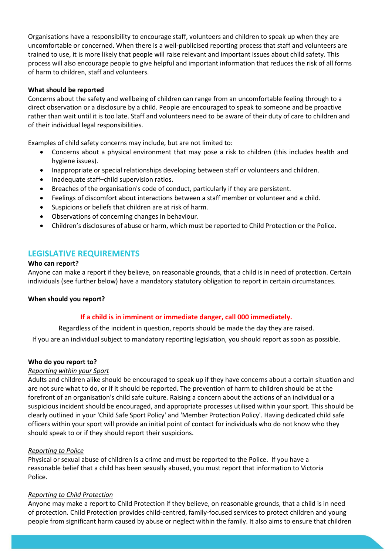Organisations have a responsibility to encourage staff, volunteers and children to speak up when they are uncomfortable or concerned. When there is a well-publicised reporting process that staff and volunteers are trained to use, it is more likely that people will raise relevant and important issues about child safety. This process will also encourage people to give helpful and important information that reduces the risk of all forms of harm to children, staff and volunteers.

#### **What should be reported**

Concerns about the safety and wellbeing of children can range from an uncomfortable feeling through to a direct observation or a disclosure by a child. People are encouraged to speak to someone and be proactive rather than wait until it is too late. Staff and volunteers need to be aware of their duty of care to children and of their individual legal responsibilities.

Examples of child safety concerns may include, but are not limited to:

- Concerns about a physical environment that may pose a risk to children (this includes health and hygiene issues).
- Inappropriate or special relationships developing between staff or volunteers and children.
- Inadequate staff–child supervision ratios.
- Breaches of the organisation's code of conduct, particularly if they are persistent.
- Feelings of discomfort about interactions between a staff member or volunteer and a child.
- Suspicions or beliefs that children are at risk of harm.
- Observations of concerning changes in behaviour.
- Children's disclosures of abuse or harm, which must be reported to Child Protection or the Police.

# **LEGISLATIVE REQUIREMENTS**

#### **Who can report?**

Anyone can make a report if they believe, on reasonable grounds, that a child is in need of protection. Certain individuals (see further below) have a mandatory statutory obligation to report in certain circumstances.

#### **When should you report?**

#### **If a child is in imminent or immediate danger, call 000 immediately.**

Regardless of the incident in question, reports should be made the day they are raised.

If you are an individual subject to mandatory reporting legislation, you should report as soon as possible.

#### **Who do you report to?**

#### *Reporting within your Sport*

Adults and children alike should be encouraged to speak up if they have concerns about a certain situation and are not sure what to do, or if it should be reported. The prevention of harm to children should be at the forefront of an organisation's child safe culture. Raising a concern about the actions of an individual or a suspicious incident should be encouraged, and appropriate processes utilised within your sport. This should be clearly outlined in your 'Child Safe Sport Policy' and 'Member Protection Policy'. Having dedicated child safe officers within your sport will provide an initial point of contact for individuals who do not know who they should speak to or if they should report their suspicions.

#### *Reporting to Police*

Physical or sexual abuse of children is a crime and must be reported to the Police. If you have a reasonable belief that a child has been sexually abused, you must report that information to Victoria Police.

#### *Reporting to Child Protection*

Anyone may make a report to Child Protection if they believe, on reasonable grounds, that a child is in need of protection. Child Protection provides child-centred, family-focused services to protect children and young people from significant harm caused by abuse or neglect within the family. It also aims to ensure that children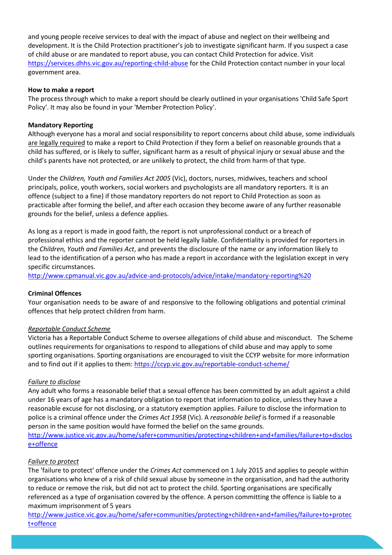and young people receive services to deal with the impact of abuse and neglect on their wellbeing and development. It is the Child Protection practitioner's job to investigate significant harm. If you suspect a case of child abuse or are mandated to report abuse, you can contact Child Protection for advice. Visit <https://services.dhhs.vic.gov.au/reporting-child-abuse> for the Child Protection contact number in your local government area.

#### **How to make a report**

The process through which to make a report should be clearly outlined in your organisations 'Child Safe Sport Policy'. It may also be found in your 'Member Protection Policy'.

# **Mandatory Reporting**

Although everyone has a moral and social responsibility to report concerns about child abuse, some individuals are legally required to make a report to Child Protection if they form a belief on reasonable grounds that a child has suffered, or is likely to suffer, significant harm as a result of physical injury or sexual abuse and the child's parents have not protected, or are unlikely to protect, the child from harm of that type.

Under the *Children, Youth and Families Act 2005* (Vic), doctors, nurses, midwives, teachers and school principals, police, youth workers, social workers and psychologists are all mandatory reporters. It is an offence (subject to a fine) if those mandatory reporters do not report to Child Protection as soon as practicable after forming the belief, and after each occasion they become aware of any further reasonable grounds for the belief, unless a defence applies.

As long as a report is made in good faith, the report is not unprofessional conduct or a breach of professional ethics and the reporter cannot be held legally liable. Confidentiality is provided for reporters in the *Children, Youth and Families Act*, and prevents the disclosure of the name or any information likely to lead to the identification of a person who has made a report in accordance with the legislation except in very specific circumstances.

[http://www.cpmanual.vic.gov.au/advice-and-protocols/advice/intake/mandatory-reporting%20](http://www.cpmanual.vic.gov.au/advice-and-protocols/advice/intake/mandatory-reporting)

# **Criminal Offences**

Your organisation needs to be aware of and responsive to the following obligations and potential criminal offences that help protect children from harm.

# *Reportable Conduct Scheme*

Victoria has a Reportable Conduct Scheme to oversee allegations of child abuse and misconduct.The Scheme outlines requirements for organisations to respond to allegations of child abuse and may apply to some sporting organisations. Sporting organisations are encouraged to visit the CCYP website for more information and to find out if it applies to them: <https://ccyp.vic.gov.au/reportable-conduct-scheme/>

# *Failure to disclose*

Any adult who forms a reasonable belief that a sexual offence has been committed by an adult against a child under 16 years of age has a mandatory obligation to report that information to police, unless they have a reasonable excuse for not disclosing, or a statutory exemption applies. Failure to disclose the information to police is a criminal offence under the *Crimes Act 1958* (Vic). A *reasonable belief* is formed if a reasonable person in the same position would have formed the belief on the same grounds.

[http://www.justice.vic.gov.au/home/safer+communities/protecting+children+and+families/failure+to+disclos](http://www.justice.vic.gov.au/home/safer+communities/protecting+children+and+families/failure+to+disclose+offence) [e+offence](http://www.justice.vic.gov.au/home/safer+communities/protecting+children+and+families/failure+to+disclose+offence)

# *Failure to protect*

The 'failure to protect' offence under the *Crimes Act* commenced on 1 July 2015 and applies to people within organisations who knew of a risk of child sexual abuse by someone in the organisation, and had the authority to reduce or remove the risk, but did not act to protect the child. Sporting organisations are specifically referenced as a type of organisation covered by the offence. A person committing the offence is liable to a maximum imprisonment of 5 years

[http://www.justice.vic.gov.au/home/safer+communities/protecting+children+and+families/failure+to+protec](http://www.justice.vic.gov.au/home/safer+communities/protecting+children+and+families/failure+to+protect+offence) [t+offence](http://www.justice.vic.gov.au/home/safer+communities/protecting+children+and+families/failure+to+protect+offence)